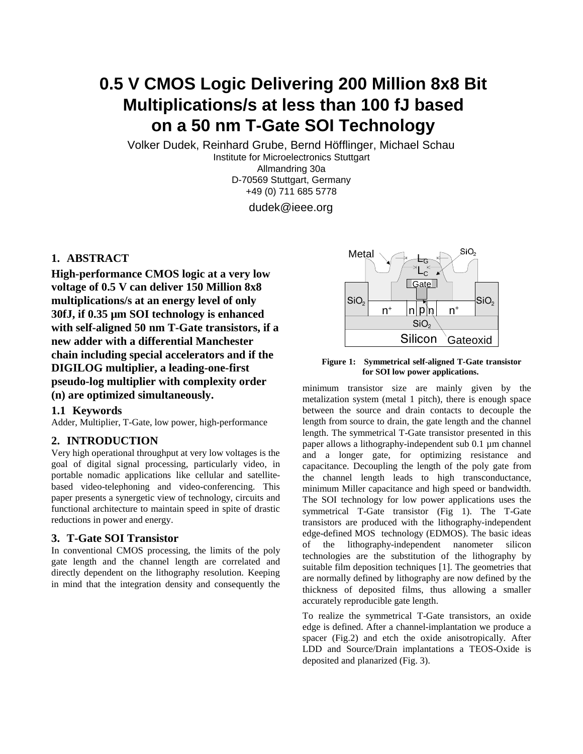# **0.5 V CMOS Logic Delivering 200 Million 8x8 Bit Multiplications/s at less than 100 fJ based on a 50 nm T-Gate SOI Technology**

Volker Dudek, Reinhard Grube, Bernd Höfflinger, Michael Schau

Institute for Microelectronics Stuttgart Allmandring 30a D-70569 Stuttgart, Germany +49 (0) 711 685 5778

dudek@ieee.org

## **1. ABSTRACT**

**High-performance CMOS logic at a very low voltage of 0.5 V can deliver 150 Million 8x8 multiplications/s at an energy level of only 30fJ, if 0.35 µm SOI technology is enhanced with self-aligned 50 nm T-Gate transistors, if a new adder with a differential Manchester chain including special accelerators and if the DIGILOG multiplier, a leading-one-first pseudo-log multiplier with complexity order (n) are optimized simultaneously.**

### **1.1 Keywords**

Adder, Multiplier, T-Gate, low power, high-performance

### **2. INTRODUCTION**

Very high operational throughput at very low voltages is the goal of digital signal processing, particularly video, in portable nomadic applications like cellular and satellitebased video-telephoning and video-conferencing. This paper presents a synergetic view of technology, circuits and functional architecture to maintain speed in spite of drastic reductions in power and energy.

### **3. T-Gate SOI Transistor**

In conventional CMOS processing, the limits of the poly gate length and the channel length are correlated and directly dependent on the lithography resolution. Keeping in mind that the integration density and consequently the



**Figure 1: Symmetrical self-aligned T-Gate transistor for SOI low power applications.**

minimum transistor size are mainly given by the metalization system (metal 1 pitch), there is enough space between the source and drain contacts to decouple the length from source to drain, the gate length and the channel length. The symmetrical T-Gate transistor presented in this paper allows a lithography-independent sub 0.1 µm channel and a longer gate, for optimizing resistance and capacitance. Decoupling the length of the poly gate from the channel length leads to high transconductance, minimum Miller capacitance and high speed or bandwidth. The SOI technology for low power applications uses the symmetrical T-Gate transistor (Fig 1). The T-Gate transistors are produced with the lithography-independent edge-defined MOS technology (EDMOS). The basic ideas of the lithography-independent nanometer silicon technologies are the substitution of the lithography by suitable film deposition techniques [1]. The geometries that are normally defined by lithography are now defined by the thickness of deposited films, thus allowing a smaller accurately reproducible gate length.

To realize the symmetrical T-Gate transistors, an oxide edge is defined. After a channel-implantation we produce a spacer (Fig.2) and etch the oxide anisotropically. After LDD and Source/Drain implantations a TEOS-Oxide is deposited and planarized (Fig. 3).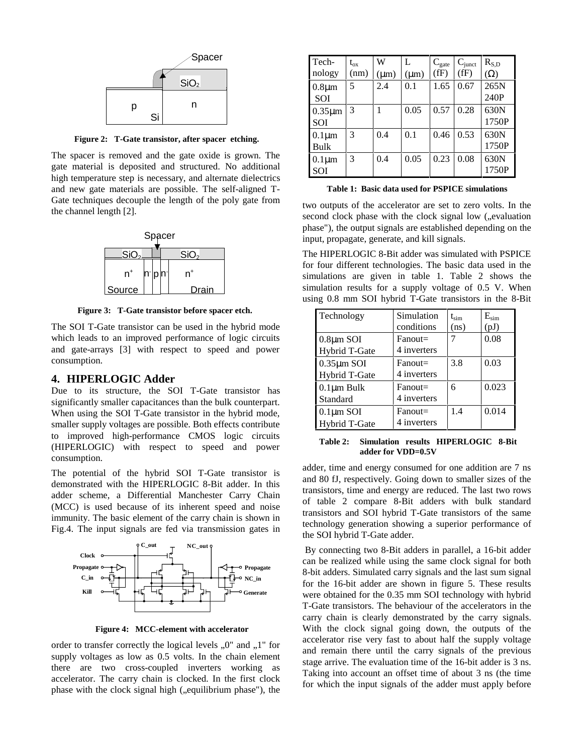

**Figure 2: T-Gate transistor, after spacer etching.**

The spacer is removed and the gate oxide is grown. The gate material is deposited and structured. No additional high temperature step is necessary, and alternate dielectrics and new gate materials are possible. The self-aligned T-Gate techniques decouple the length of the poly gate from the channel length [2].



**Figure 3: T-Gate transistor before spacer etch.**

The SOI T-Gate transistor can be used in the hybrid mode which leads to an improved performance of logic circuits and gate-arrays [3] with respect to speed and power consumption.

#### **4. HIPERLOGIC Adder**

Due to its structure, the SOI T-Gate transistor has significantly smaller capacitances than the bulk counterpart. When using the SOI T-Gate transistor in the hybrid mode, smaller supply voltages are possible. Both effects contribute to improved high-performance CMOS logic circuits (HIPERLOGIC) with respect to speed and power consumption.

The potential of the hybrid SOI T-Gate transistor is demonstrated with the HIPERLOGIC 8-Bit adder. In this adder scheme, a Differential Manchester Carry Chain (MCC) is used because of its inherent speed and noise immunity. The basic element of the carry chain is shown in Fig.4. The input signals are fed via transmission gates in



**Figure 4: MCC-element with accelerator**

order to transfer correctly the logical levels  $,0$ " and  $,1$ " for supply voltages as low as 0.5 volts. In the chain element there are two cross-coupled inverters working as accelerator. The carry chain is clocked. In the first clock phase with the clock signal high ("equilibrium phase"), the

| Tech-        | $t_{ox}$ | W         | L         | $C_{\rm gate}$ | $C_{\text{junct}}$ | $R_{S,D}$  |
|--------------|----------|-----------|-----------|----------------|--------------------|------------|
| nology       | (nm)     | $(\mu m)$ | $(\mu m)$ | (fF)           | (fF)               | $(\Omega)$ |
| $0.8 \mu m$  | 5        | 2.4       | 0.1       | 1.65           | 0.67               | 265N       |
| SOI          |          |           |           |                |                    | 240P       |
| $0.35 \mu m$ | 3        |           | 0.05      | 0.57           | 0.28               | 630N       |
| SOI          |          |           |           |                |                    | 1750P      |
| $0.1 \mu m$  | 3        | 0.4       | 0.1       | 0.46           | 0.53               | 630N       |
| Bulk         |          |           |           |                |                    | 1750P      |
| $0.1 \mu m$  | 3        | 0.4       | 0.05      | 0.23           | 0.08               | 630N       |
| SOI          |          |           |           |                |                    | 1750P      |

**Table 1: Basic data used for PSPICE simulations**

two outputs of the accelerator are set to zero volts. In the second clock phase with the clock signal low ("evaluation phase"), the output signals are established depending on the input, propagate, generate, and kill signals.

The HIPERLOGIC 8-Bit adder was simulated with PSPICE for four different technologies. The basic data used in the simulations are given in table 1. Table 2 shows the simulation results for a supply voltage of 0.5 V. When using 0.8 mm SOI hybrid T-Gate transistors in the 8-Bit

| Technology       | Simulation  | $t_{\rm sim}$ | $E_{sim}$ |
|------------------|-------------|---------------|-----------|
|                  | conditions  | (ns)          | (pJ)      |
| $0.8 \mu m$ SOI  | $Fanout =$  |               | 0.08      |
| Hybrid T-Gate    | 4 inverters |               |           |
| $0.35 \mu m$ SOI | $Fanout =$  | 3.8           | 0.03      |
| Hybrid T-Gate    | 4 inverters |               |           |
| $0.1 \mu m$ Bulk | $Fanout =$  | 6             | 0.023     |
| Standard         | 4 inverters |               |           |
| $0.1 \mu m$ SOI  | $Fanout =$  | 1.4           | 0.014     |
| Hybrid T-Gate    | 4 inverters |               |           |

**Table 2: Simulation results HIPERLOGIC 8-Bit adder for VDD=0.5V**

adder, time and energy consumed for one addition are 7 ns and 80 fJ, respectively. Going down to smaller sizes of the transistors, time and energy are reduced. The last two rows of table 2 compare 8-Bit adders with bulk standard transistors and SOI hybrid T-Gate transistors of the same technology generation showing a superior performance of the SOI hybrid T-Gate adder.

 By connecting two 8-Bit adders in parallel, a 16-bit adder can be realized while using the same clock signal for both 8-bit adders. Simulated carry signals and the last sum signal for the 16-bit adder are shown in figure 5. These results were obtained for the 0.35 mm SOI technology with hybrid T-Gate transistors. The behaviour of the accelerators in the carry chain is clearly demonstrated by the carry signals. With the clock signal going down, the outputs of the accelerator rise very fast to about half the supply voltage and remain there until the carry signals of the previous stage arrive. The evaluation time of the 16-bit adder is 3 ns. Taking into account an offset time of about 3 ns (the time for which the input signals of the adder must apply before